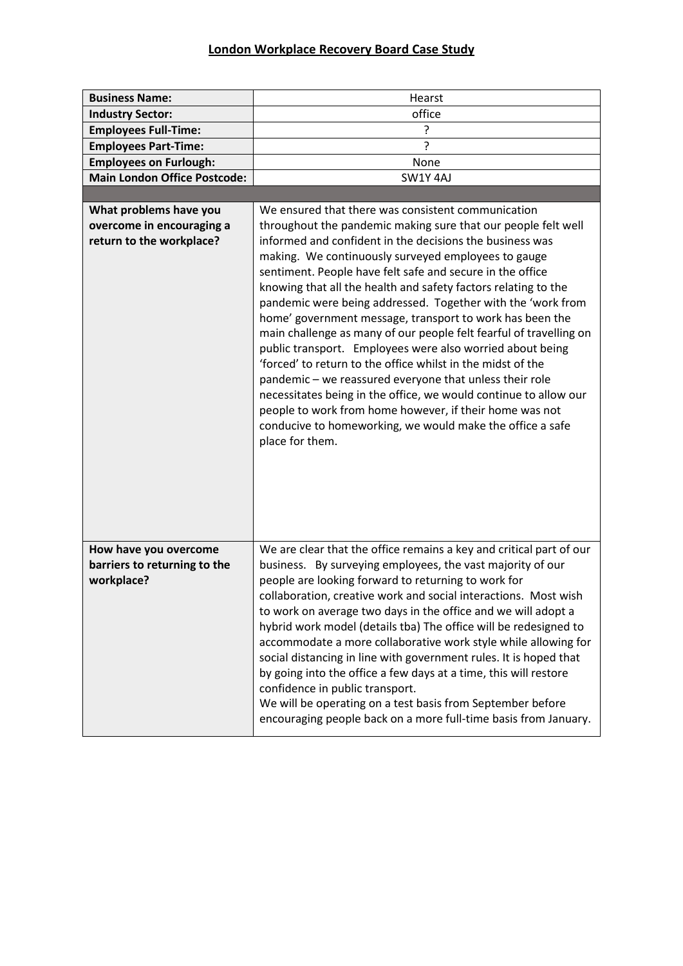## **London Workplace Recovery Board Case Study**

| <b>Business Name:</b>                                 | Hearst                                                                                                                            |
|-------------------------------------------------------|-----------------------------------------------------------------------------------------------------------------------------------|
| <b>Industry Sector:</b>                               | office                                                                                                                            |
| <b>Employees Full-Time:</b>                           | ?                                                                                                                                 |
| <b>Employees Part-Time:</b>                           | ?                                                                                                                                 |
| <b>Employees on Furlough:</b>                         | None                                                                                                                              |
| <b>Main London Office Postcode:</b>                   | SW1Y4AJ                                                                                                                           |
|                                                       |                                                                                                                                   |
| What problems have you                                | We ensured that there was consistent communication                                                                                |
| overcome in encouraging a                             | throughout the pandemic making sure that our people felt well                                                                     |
| return to the workplace?                              | informed and confident in the decisions the business was                                                                          |
|                                                       | making. We continuously surveyed employees to gauge                                                                               |
|                                                       | sentiment. People have felt safe and secure in the office                                                                         |
|                                                       | knowing that all the health and safety factors relating to the                                                                    |
|                                                       | pandemic were being addressed. Together with the 'work from                                                                       |
|                                                       | home' government message, transport to work has been the                                                                          |
|                                                       | main challenge as many of our people felt fearful of travelling on                                                                |
|                                                       | public transport. Employees were also worried about being                                                                         |
|                                                       | 'forced' to return to the office whilst in the midst of the                                                                       |
|                                                       | pandemic - we reassured everyone that unless their role<br>necessitates being in the office, we would continue to allow our       |
|                                                       | people to work from home however, if their home was not                                                                           |
|                                                       | conducive to homeworking, we would make the office a safe                                                                         |
|                                                       | place for them.                                                                                                                   |
|                                                       |                                                                                                                                   |
|                                                       |                                                                                                                                   |
|                                                       |                                                                                                                                   |
|                                                       |                                                                                                                                   |
|                                                       |                                                                                                                                   |
|                                                       |                                                                                                                                   |
| How have you overcome<br>barriers to returning to the | We are clear that the office remains a key and critical part of our<br>business. By surveying employees, the vast majority of our |
| workplace?                                            | people are looking forward to returning to work for                                                                               |
|                                                       | collaboration, creative work and social interactions. Most wish                                                                   |
|                                                       | to work on average two days in the office and we will adopt a                                                                     |
|                                                       | hybrid work model (details tba) The office will be redesigned to                                                                  |
|                                                       | accommodate a more collaborative work style while allowing for                                                                    |
|                                                       | social distancing in line with government rules. It is hoped that                                                                 |
|                                                       | by going into the office a few days at a time, this will restore                                                                  |
|                                                       | confidence in public transport.                                                                                                   |
|                                                       | We will be operating on a test basis from September before                                                                        |
|                                                       | encouraging people back on a more full-time basis from January.                                                                   |
|                                                       |                                                                                                                                   |